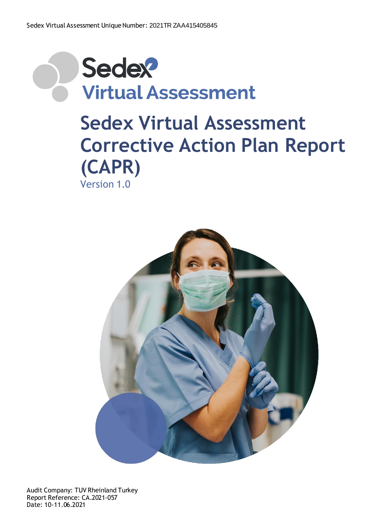

## **Sedex Virtual Assessment Corrective Action Plan Report (CAPR)** Version 1.0



Audit Company: TUV Rheinland Turkey Report Reference: CA.2021-057 Date: 10-11.06.2021